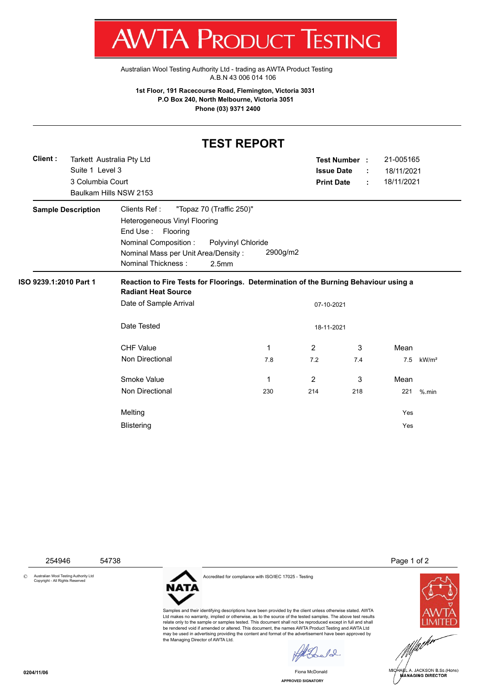T WV I/VI RUDUCT IESHING

[Australian Wool Testing Authority Ltd - trading as AWTA Product Testing](http://www.awtaproducttesting.com.au/) A.B.N 43 006 014 106

**1st Floor, 191 Racecourse Road, Flemington, Victoria 3031 P.O Box 240, North Melbourne, Victoria 3051 Phone (03) 9371 2400**

## **TEST REPORT**

| Client:                   | Tarkett Australia Pty Ltd |                                                                                                                    |                   |                | 21-005165<br><b>Test Number:</b><br><b>Issue Date</b> |            |                   |  |  |  |  |
|---------------------------|---------------------------|--------------------------------------------------------------------------------------------------------------------|-------------------|----------------|-------------------------------------------------------|------------|-------------------|--|--|--|--|
|                           |                           | Suite 1 Level 3                                                                                                    |                   |                |                                                       | 18/11/2021 |                   |  |  |  |  |
|                           | 3 Columbia Court          |                                                                                                                    | <b>Print Date</b> | ÷              | 18/11/2021                                            |            |                   |  |  |  |  |
|                           |                           | Baulkam Hills NSW 2153                                                                                             |                   |                |                                                       |            |                   |  |  |  |  |
| <b>Sample Description</b> |                           | Clients Ref:<br>"Topaz 70 (Traffic 250)"                                                                           |                   |                |                                                       |            |                   |  |  |  |  |
|                           |                           | Heterogeneous Vinyl Flooring                                                                                       |                   |                |                                                       |            |                   |  |  |  |  |
|                           |                           | End Use :<br>Flooring                                                                                              |                   |                |                                                       |            |                   |  |  |  |  |
|                           |                           | Nominal Composition:<br>Polyvinyl Chloride                                                                         |                   |                |                                                       |            |                   |  |  |  |  |
|                           |                           | Nominal Mass per Unit Area/Density:                                                                                | 2900g/m2          |                |                                                       |            |                   |  |  |  |  |
|                           |                           | <b>Nominal Thickness:</b><br>2.5 <sub>mm</sub>                                                                     |                   |                |                                                       |            |                   |  |  |  |  |
| ISO 9239.1:2010 Part 1    |                           | Reaction to Fire Tests for Floorings. Determination of the Burning Behaviour using a<br><b>Radiant Heat Source</b> |                   |                |                                                       |            |                   |  |  |  |  |
|                           |                           | Date of Sample Arrival<br>07-10-2021                                                                               |                   |                |                                                       |            |                   |  |  |  |  |
|                           |                           | Date Tested<br>18-11-2021                                                                                          |                   |                |                                                       |            |                   |  |  |  |  |
|                           |                           | <b>CHF Value</b>                                                                                                   | 1                 | $\overline{2}$ | 3                                                     | Mean       |                   |  |  |  |  |
|                           |                           | Non Directional                                                                                                    | 7.8               | 7.2            | 7.4                                                   | 7.5        | kW/m <sup>2</sup> |  |  |  |  |
|                           |                           | Smoke Value                                                                                                        | 1                 | $\overline{2}$ | 3                                                     | Mean       |                   |  |  |  |  |
|                           |                           | Non Directional                                                                                                    | 230               | 214            | 218                                                   | 221        | $%$ .min          |  |  |  |  |
|                           |                           | Melting                                                                                                            |                   |                |                                                       | Yes        |                   |  |  |  |  |
|                           |                           | <b>Blistering</b>                                                                                                  |                   |                |                                                       | Yes        |                   |  |  |  |  |
|                           |                           |                                                                                                                    |                   |                |                                                       |            |                   |  |  |  |  |

© Australian Wool Testing Authority Ltd Copyright - All Rights Reserved



Accredited for compliance with ISO/IEC 17025 - Testing

Samples and their identifying descriptions have been provided by the client unless otherwise stated. AWTA Ltd makes no warranty, implied or otherwise, as to the source of the tested samples. The above test results relate only to the sample or samples tested. This document shall not be reproduced except in full and shall be rendered void if amended or altered. This document, the names AWTA Product Testing and AWTA Ltd may be used in advertising providing the content and format of the advertisement have been approved by the Managing Director of AWTA Ltd.

254946 54738 Page 1 of 2



MICHAEL A. JACKSON B.Sc.(Hons) MANAGING DIRECTOR

**APPROVED SIGNATORY** Fiona McDonald

 $\ell$